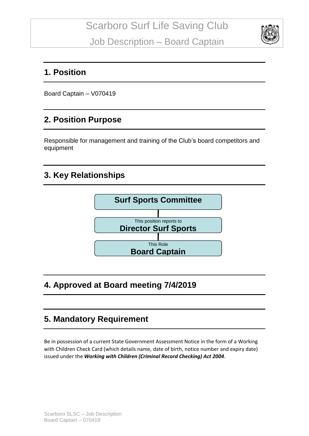

### **1. Position**

Board Captain – V070419

# **2. Position Purpose**

Responsible for management and training of the Club's board competitors and equipment

## **3. Key Relationships**



# **4. Approved at Board meeting 7/4/2019**

### **5. Mandatory Requirement**

Be in possession of a current State Government Assessment Notice in the form of a Working with Children Check Card (which details name, date of birth, notice number and expiry date) issued under the *Working with Children (Criminal Record Checking) Act 2004*.